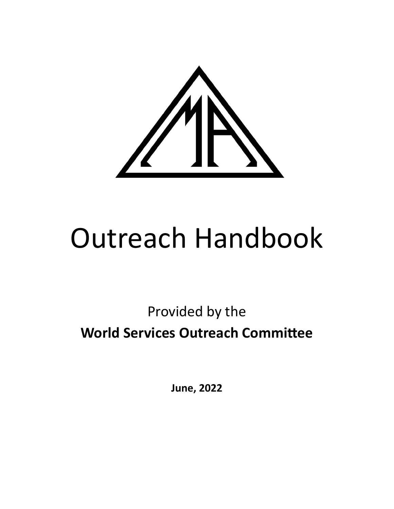

# Outreach Handbook

# Provided by the **World Services Outreach Committee**

**June, 2022**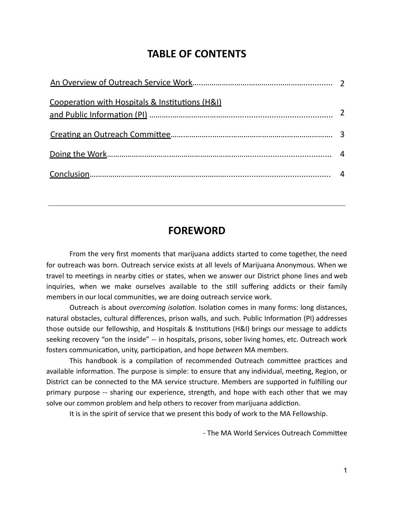## **TABLE OF CONTENTS**

| Cooperation with Hospitals & Institutions (H&I) |  |
|-------------------------------------------------|--|
|                                                 |  |
|                                                 |  |
|                                                 |  |

### **FOREWORD**

From the very first moments that marijuana addicts started to come together, the need for outreach was born. Outreach service exists at all levels of Marijuana Anonymous. When we travel to meetings in nearby cities or states, when we answer our District phone lines and web inquiries, when we make ourselves available to the still suffering addicts or their family members in our local communities, we are doing outreach service work.

Outreach is about *overcoming isolation*. Isolation comes in many forms: long distances, natural obstacles, cultural differences, prison walls, and such. Public Information (PI) addresses those outside our fellowship, and Hospitals & Institutions (H&I) brings our message to addicts seeking recovery "on the inside" -- in hospitals, prisons, sober living homes, etc. Outreach work fosters communication, unity, participation, and hope *between* MA members.

This handbook is a compilation of recommended Outreach committee practices and available information. The purpose is simple: to ensure that any individual, meeting, Region, or District can be connected to the MA service structure. Members are supported in fulfilling our primary purpose -- sharing our experience, strength, and hope with each other that we may solve our common problem and help others to recover from marijuana addiction.

It is in the spirit of service that we present this body of work to the MA Fellowship.

- The MA World Services Outreach Committee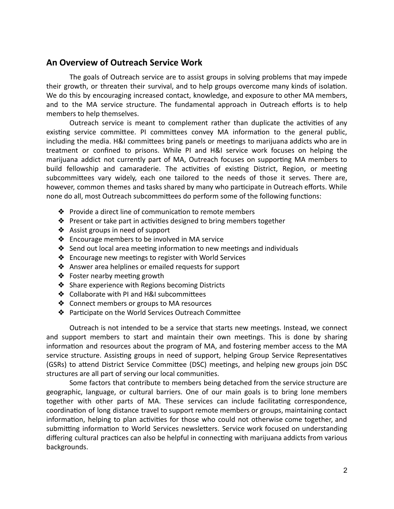#### **An Overview of Outreach Service Work**

The goals of Outreach service are to assist groups in solving problems that may impede their growth, or threaten their survival, and to help groups overcome many kinds of isolation. We do this by encouraging increased contact, knowledge, and exposure to other MA members, and to the MA service structure. The fundamental approach in Outreach efforts is to help members to help themselves.

Outreach service is meant to complement rather than duplicate the activities of any existing service committee. PI committees convey MA information to the general public, including the media. H&I committees bring panels or meetings to marijuana addicts who are in treatment or confined to prisons. While PI and H&I service work focuses on helping the marijuana addict not currently part of MA, Outreach focuses on supporting MA members to build fellowship and camaraderie. The activities of existing District, Region, or meeting subcommittees vary widely, each one tailored to the needs of those it serves. There are, however, common themes and tasks shared by many who participate in Outreach efforts. While none do all, most Outreach subcommittees do perform some of the following functions:

- $\triangle$  Provide a direct line of communication to remote members
- $\triangle$  Present or take part in activities designed to bring members together
- ❖ Assist groups in need of support
- ❖ Encourage members to be involved in MA service
- $\triangle$  Send out local area meeting information to new meetings and individuals
- ❖ Encourage new meengs to register with World Services
- ❖ Answer area helplines or emailed requests for support
- ❖ Foster nearby meeting growth
- ❖ Share experience with Regions becoming Districts
- ❖ Collaborate with PI and H&I subcommittees
- ❖ Connect members or groups to MA resources
- ❖ Participate on the World Services Outreach Committee

Outreach is not intended to be a service that starts new meetings. Instead, we connect and support members to start and maintain their own meetings. This is done by sharing information and resources about the program of MA, and fostering member access to the MA service structure. Assisting groups in need of support, helping Group Service Representatives (GSRs) to attend District Service Committee (DSC) meetings, and helping new groups join DSC structures are all part of serving our local communities.

Some factors that contribute to members being detached from the service structure are geographic, language, or cultural barriers. One of our main goals is to bring lone members together with other parts of MA. These services can include facilitating correspondence, coordination of long distance travel to support remote members or groups, maintaining contact information, helping to plan activities for those who could not otherwise come together, and submitting information to World Services newsletters. Service work focused on understanding differing cultural practices can also be helpful in connecting with marijuana addicts from various backgrounds.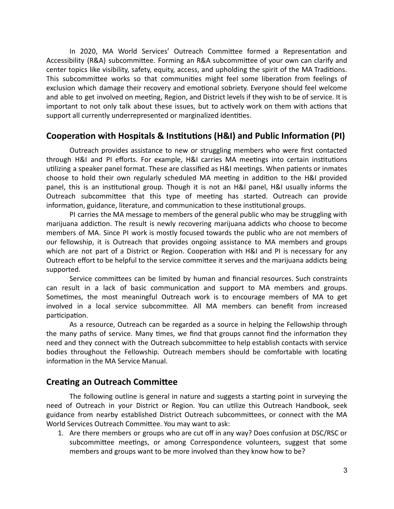In 2020, MA World Services' Outreach Committee formed a Representation and Accessibility (R&A) subcommittee. Forming an R&A subcommittee of your own can clarify and center topics like visibility, safety, equity, access, and upholding the spirit of the MA Traditions. This subcommittee works so that communities might feel some liberation from feelings of exclusion which damage their recovery and emotional sobriety. Everyone should feel welcome and able to get involved on meeting, Region, and District levels if they wish to be of service. It is important to not only talk about these issues, but to actively work on them with actions that support all currently underrepresented or marginalized identities.

#### <span id="page-3-0"></span>**Cooperation with Hospitals & Institutions (H&I) and Public Information (PI)**

Outreach provides assistance to new or struggling members who were first contacted through H&I and PI efforts. For example, H&I carries MA meetings into certain institutions utilizing a speaker panel format. These are classified as H&I meetings. When patients or inmates choose to hold their own regularly scheduled MA meeting in addition to the H&I provided panel, this is an institutional group. Though it is not an H&I panel, H&I usually informs the Outreach subcommittee that this type of meeting has started. Outreach can provide information, guidance, literature, and communication to these institutional groups.

PI carries the MA message to members of the general public who may be struggling with marijuana addiction. The result is newly recovering marijuana addicts who choose to become members of MA. Since PI work is mostly focused towards the public who are not members of our fellowship, it is Outreach that provides ongoing assistance to MA members and groups which are not part of a District or Region. Cooperation with H&I and PI is necessary for any Outreach effort to be helpful to the service committee it serves and the marijuana addicts being supported.

Service committees can be limited by human and financial resources. Such constraints can result in a lack of basic communication and support to MA members and groups. Sometimes, the most meaningful Outreach work is to encourage members of MA to get involved in a local service subcommittee. All MA members can benefit from increased participation.

As a resource, Outreach can be regarded as a source in helping the Fellowship through the many paths of service. Many times, we find that groups cannot find the information they need and they connect with the Outreach subcommittee to help establish contacts with service bodies throughout the Fellowship. Outreach members should be comfortable with locating information in the MA Service Manual.

#### <span id="page-3-1"></span>**Creating an Outreach Committee**

The following outline is general in nature and suggests a starting point in surveying the need of Outreach in your District or Region. You can utilize this Outreach Handbook, seek guidance from nearby established District Outreach subcommittees, or connect with the MA World Services Outreach Committee. You may want to ask:

1. Are there members or groups who are cut off in any way? Does confusion at DSC/RSC or subcommittee meetings, or among Correspondence volunteers, suggest that some members and groups want to be more involved than they know how to be?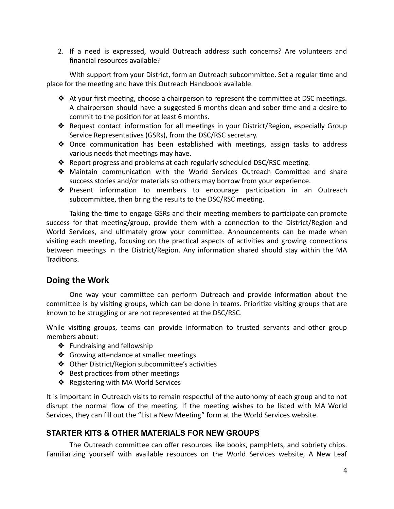2. If a need is expressed, would Outreach address such concerns? Are volunteers and financial resources available?

With support from your District, form an Outreach subcommittee. Set a regular time and place for the meeting and have this Outreach Handbook available.

- $\triangle$  At your first meeting, choose a chairperson to represent the committee at DSC meetings. A chairperson should have a suggested 6 months clean and sober time and a desire to commit to the position for at least 6 months.
- $\triangle$  Request contact information for all meetings in your District/Region, especially Group Service Representatives (GSRs), from the DSC/RSC secretary.
- $\triangle$  Once communication has been established with meetings, assign tasks to address various needs that meetings may have.
- ❖ Report progress and problems at each regularly scheduled DSC/RSC meeng.
- ◆ Maintain communication with the World Services Outreach Committee and share success stories and/or materials so others may borrow from your experience.
- ❖ Present information to members to encourage participation in an Outreach subcommittee, then bring the results to the DSC/RSC meeting.

Taking the time to engage GSRs and their meeting members to participate can promote success for that meeting/group, provide them with a connection to the District/Region and World Services, and ultimately grow your committee. Announcements can be made when visiting each meeting, focusing on the practical aspects of activities and growing connections between meetings in the District/Region. Any information shared should stay within the MA Traditions.

#### <span id="page-4-0"></span>**Doing the Work**

One way your committee can perform Outreach and provide information about the committee is by visiting groups, which can be done in teams. Prioritize visiting groups that are known to be struggling or are not represented at the DSC/RSC.

While visiting groups, teams can provide information to trusted servants and other group members about:

- ❖ Fundraising and fellowship
- ❖ Growing attendance at smaller meetings
- ❖ Other District/Region subcommittee's activities
- ❖ Best practices from other meetings
- ❖ Registering with MA World Services

It is important in Outreach visits to remain respectful of the autonomy of each group and to not disrupt the normal flow of the meeting. If the meeting wishes to be listed with MA World Services, they can fill out the "List a New Meeting" form at the World Services website.

#### **STARTER KITS & OTHER MATERIALS FOR NEW GROUPS**

The Outreach committee can offer resources like books, pamphlets, and sobriety chips. Familiarizing yourself with available resources on the World Services website, A New Leaf